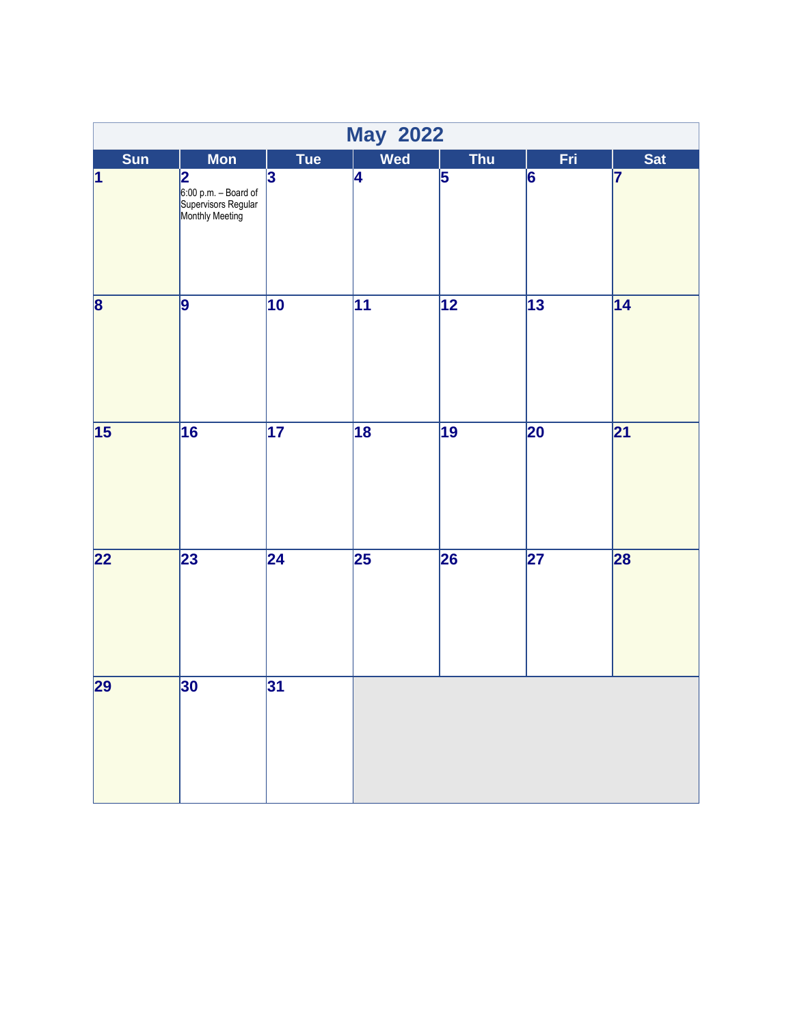|                         |                                                                                           |                         | <b>May 2022</b> |                 |                 |                 |
|-------------------------|-------------------------------------------------------------------------------------------|-------------------------|-----------------|-----------------|-----------------|-----------------|
| Sun                     | <b>Mon</b>                                                                                | <b>Tue</b>              | Wed             | <b>Thu</b>      | Fri             | <b>Sat</b>      |
| $\overline{\mathbf{1}}$ | $\overline{\mathbf{2}}$<br>6:00 p.m. – Board of<br>Supervisors Regular<br>Monthly Meeting | $\overline{\mathbf{3}}$ | $\overline{4}$  | $\overline{5}$  | $\overline{6}$  | 7               |
| $\overline{\mathbf{8}}$ | $\overline{9}$                                                                            | $\overline{10}$         | $\overline{11}$ | $\overline{12}$ | $\overline{13}$ | $\overline{14}$ |
| 15                      | $\overline{16}$                                                                           | $\overline{17}$         | $\overline{18}$ | $\overline{19}$ | 20              | $\overline{21}$ |
| $\overline{22}$         | $\overline{23}$                                                                           | $\overline{24}$         | $\overline{25}$ | 26              | $\overline{27}$ | 28              |
| $\overline{29}$         | 30                                                                                        | 31                      |                 |                 |                 |                 |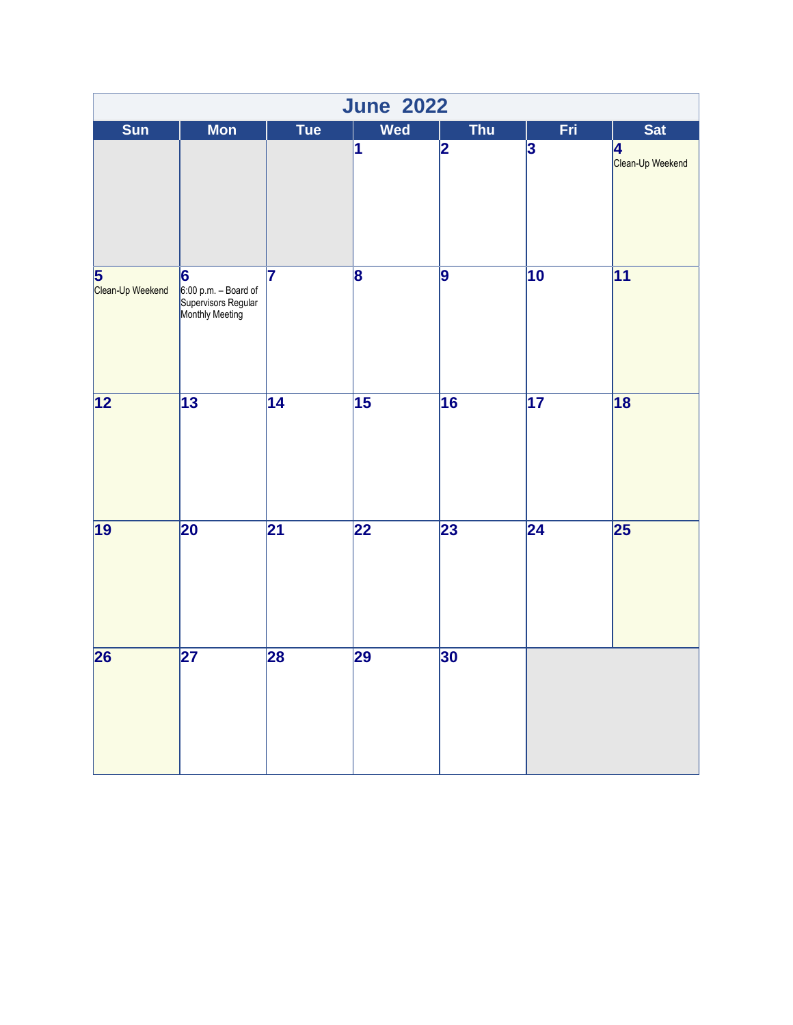|                       | <b>June 2022</b>                                                    |                 |                         |                         |                         |                       |  |  |  |
|-----------------------|---------------------------------------------------------------------|-----------------|-------------------------|-------------------------|-------------------------|-----------------------|--|--|--|
| Sun                   | <b>Mon</b>                                                          | <b>Tue</b>      | <b>Wed</b>              | <b>Thu</b>              | Fri                     | Sat                   |  |  |  |
|                       |                                                                     |                 | $\overline{\mathbf{1}}$ | $\overline{\mathbf{2}}$ | $\overline{\mathbf{3}}$ | 4<br>Clean-Up Weekend |  |  |  |
| 5<br>Clean-Up Weekend | 6<br>6:00 p.m. – Board of<br>Supervisors Regular<br>Monthly Meeting | 7               | $\overline{\mathbf{8}}$ | 9                       | $\overline{10}$         | $\overline{11}$       |  |  |  |
| $\overline{12}$       | $\overline{13}$                                                     | $\overline{14}$ | $\overline{15}$         | 16                      | $\overline{17}$         | $\overline{18}$       |  |  |  |
| $\overline{19}$       | 20                                                                  | $\overline{21}$ | $\overline{22}$         | 23                      | $\overline{24}$         | $\overline{25}$       |  |  |  |
| $\overline{26}$       | $\overline{27}$                                                     | 28              | 29                      | 30                      |                         |                       |  |  |  |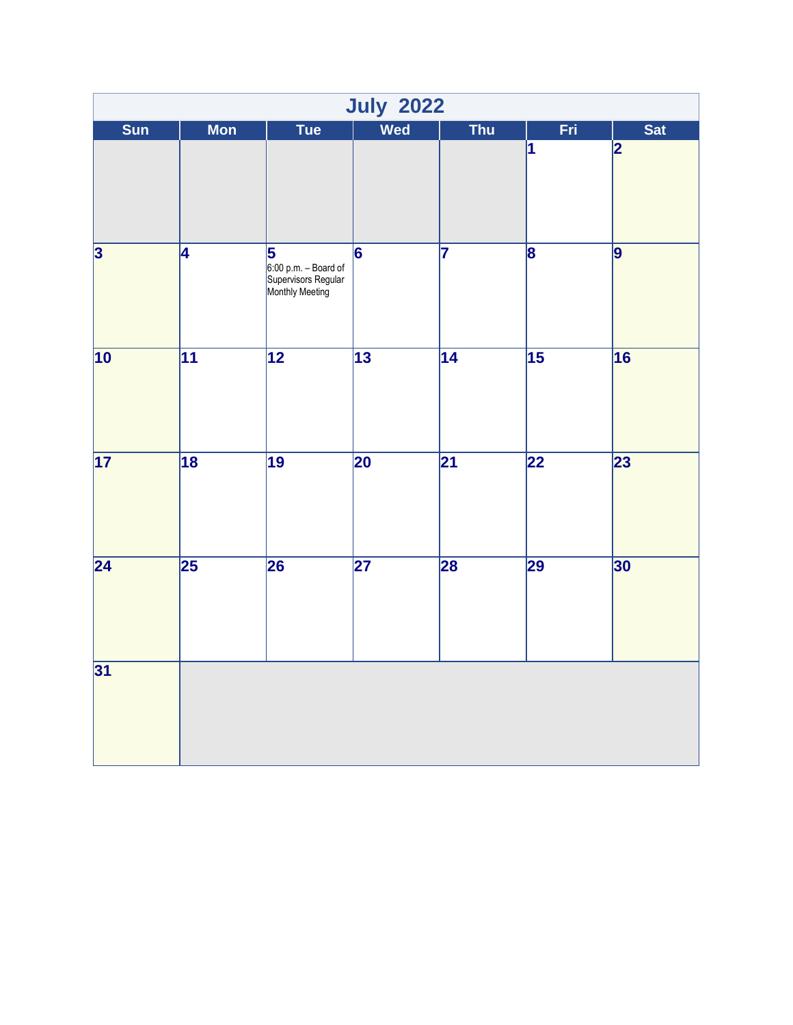|                         |                 |                                                                                           | <b>July 2022</b> |                         |                         |                 |
|-------------------------|-----------------|-------------------------------------------------------------------------------------------|------------------|-------------------------|-------------------------|-----------------|
| Sun                     | <b>Mon</b>      | Tue                                                                                       | <b>Wed</b>       | <b>Thu</b>              | Fri                     | <b>Sat</b>      |
|                         |                 |                                                                                           |                  |                         | 1                       | 2               |
| $\overline{\mathbf{3}}$ | 4               | $\overline{\mathbf{5}}$<br>6:00 p.m. – Board of<br>Supervisors Regular<br>Monthly Meeting | $\overline{6}$   | $\overline{\mathbf{7}}$ | $\overline{\mathbf{8}}$ | $\overline{9}$  |
| $\overline{10}$         | $\overline{11}$ | $\overline{12}$                                                                           | $\overline{13}$  | $\overline{14}$         | $\overline{15}$         | $\overline{16}$ |
| $\overline{17}$         | $\overline{18}$ | $\overline{19}$                                                                           | $\overline{20}$  | $\overline{21}$         | 22                      | 23              |
| $\overline{24}$         | $\overline{25}$ | 26                                                                                        | $\overline{27}$  | 28                      | 29                      | 30              |
| 31                      |                 |                                                                                           |                  |                         |                         |                 |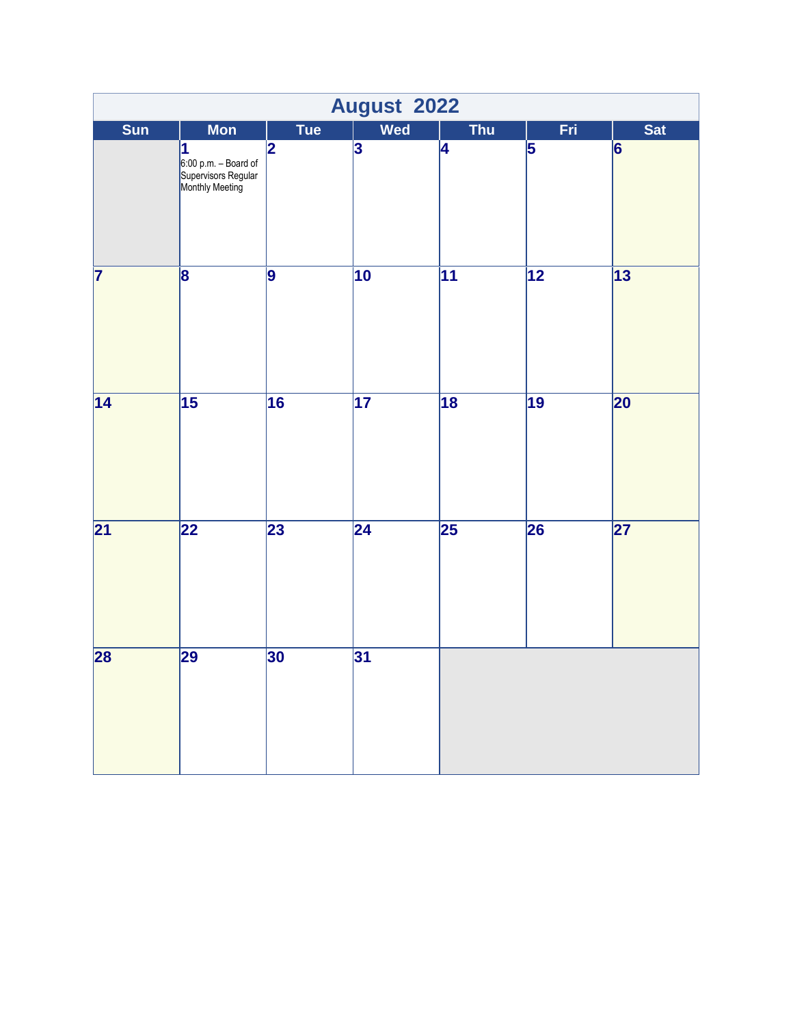|                         | August 2022                                                         |                         |                 |                 |                         |                 |  |  |
|-------------------------|---------------------------------------------------------------------|-------------------------|-----------------|-----------------|-------------------------|-----------------|--|--|
| Sun                     | <b>Mon</b>                                                          | Tue                     | <b>Wed</b>      | <b>Thu</b>      | Fri                     | <b>Sat</b>      |  |  |
|                         | 1<br>6:00 p.m. – Board of<br>Supervisors Regular<br>Monthly Meeting | $\overline{\mathbf{2}}$ | $\overline{3}$  | 4               | $\overline{\mathbf{5}}$ | $\overline{6}$  |  |  |
| $\overline{\mathbf{7}}$ | $\overline{\mathbf{8}}$                                             | 9                       | $\overline{10}$ | $\overline{11}$ | $\overline{12}$         | $\overline{13}$ |  |  |
| $\overline{14}$         | $\overline{15}$                                                     | 16                      | 17              | $\overline{18}$ | 19                      | 20              |  |  |
| $\overline{21}$         | $\overline{22}$                                                     | 23                      | $\overline{24}$ | $\overline{25}$ | 26                      | $\overline{27}$ |  |  |
| 28                      | 29                                                                  | 30                      | 31              |                 |                         |                 |  |  |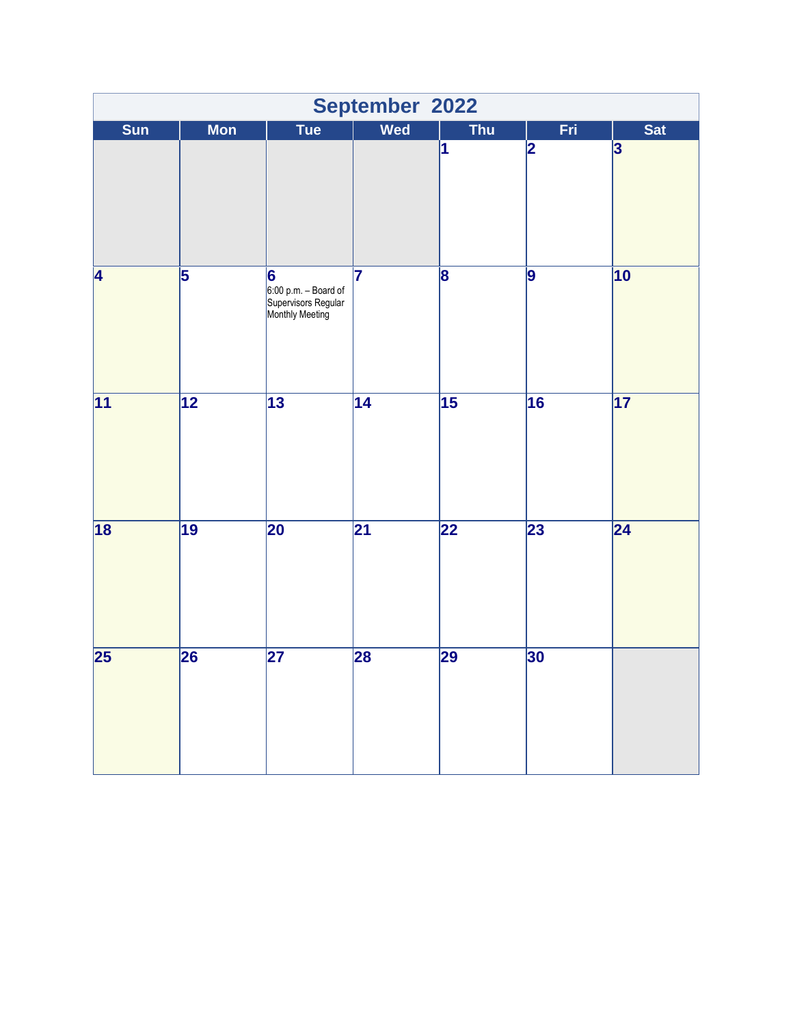|                 | September 2022          |                                                                     |                 |                         |                         |                         |  |  |
|-----------------|-------------------------|---------------------------------------------------------------------|-----------------|-------------------------|-------------------------|-------------------------|--|--|
| Sun             | <b>Mon</b>              | <b>Tue</b>                                                          | <b>Wed</b>      | <b>Thu</b>              | Fri                     | <b>Sat</b>              |  |  |
|                 |                         |                                                                     |                 | 1                       | $\overline{\mathbf{2}}$ | $\overline{\mathbf{3}}$ |  |  |
| 4               | $\overline{\mathbf{5}}$ | 6<br>6:00 p.m. – Board of<br>Supervisors Regular<br>Monthly Meeting | 7               | $\overline{\mathbf{8}}$ | 9                       | $\overline{10}$         |  |  |
| $\overline{11}$ | $\overline{12}$         | $\overline{13}$                                                     | $\overline{14}$ | $\overline{15}$         | $\overline{16}$         | $\overline{17}$         |  |  |
| $\overline{18}$ | $\overline{19}$         | 20                                                                  | $\overline{21}$ | $\overline{22}$         | 23                      | $\overline{24}$         |  |  |
| $\overline{25}$ | 26                      | $\overline{27}$                                                     | 28              | 29                      | 30                      |                         |  |  |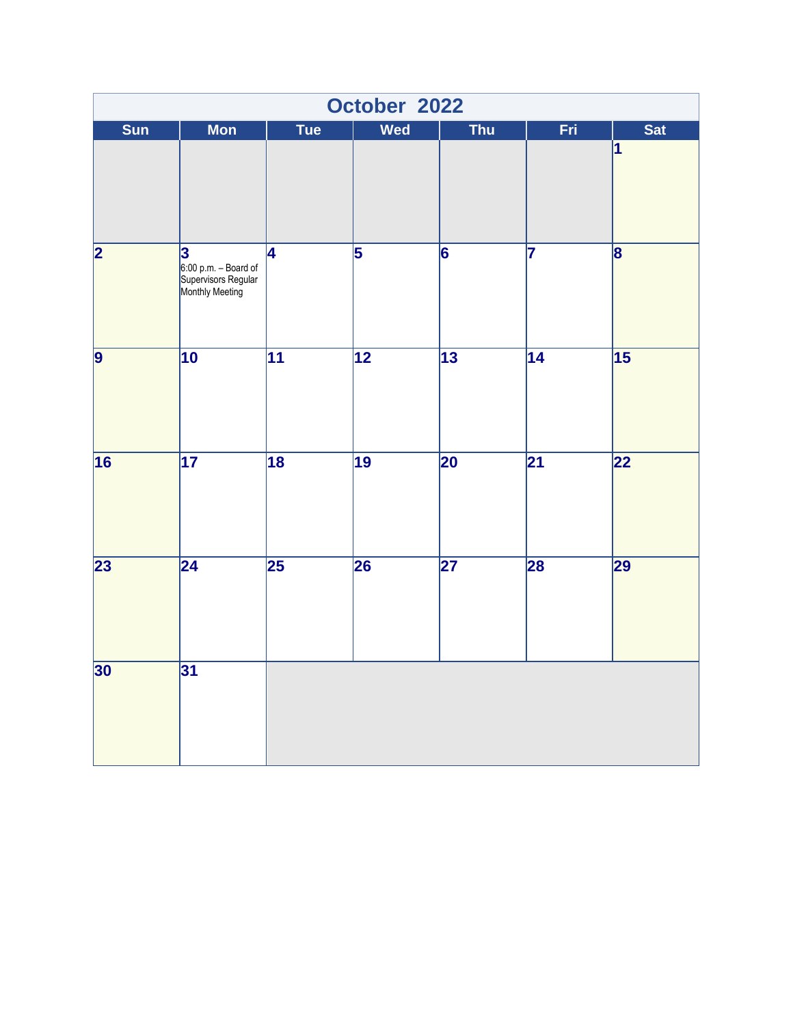|                         | October 2022                                                        |                 |                 |                 |                 |                         |  |  |
|-------------------------|---------------------------------------------------------------------|-----------------|-----------------|-----------------|-----------------|-------------------------|--|--|
| Sun                     | <b>Mon</b>                                                          | <b>Tue</b>      | <b>Wed</b>      | <b>Thu</b>      | Fri             | <b>Sat</b>              |  |  |
|                         |                                                                     |                 |                 |                 |                 | $\overline{\mathbf{1}}$ |  |  |
| $\overline{\mathbf{2}}$ | 3<br>6:00 p.m. – Board of<br>Supervisors Regular<br>Monthly Meeting | 4               | $\overline{5}$  | $\overline{6}$  | 7               | $\overline{\mathbf{8}}$ |  |  |
| $\overline{9}$          | $\overline{10}$                                                     | $\overline{11}$ | $\overline{12}$ | $\overline{13}$ | $\overline{14}$ | $\overline{15}$         |  |  |
| 16                      | $\overline{17}$                                                     | $\overline{18}$ | $\overline{19}$ | $\overline{20}$ | $\overline{21}$ | 22                      |  |  |
| $\overline{23}$         | $\overline{24}$                                                     | $\overline{25}$ | 26              | $\overline{27}$ | 28              | 29                      |  |  |
| 30                      | 31                                                                  |                 |                 |                 |                 |                         |  |  |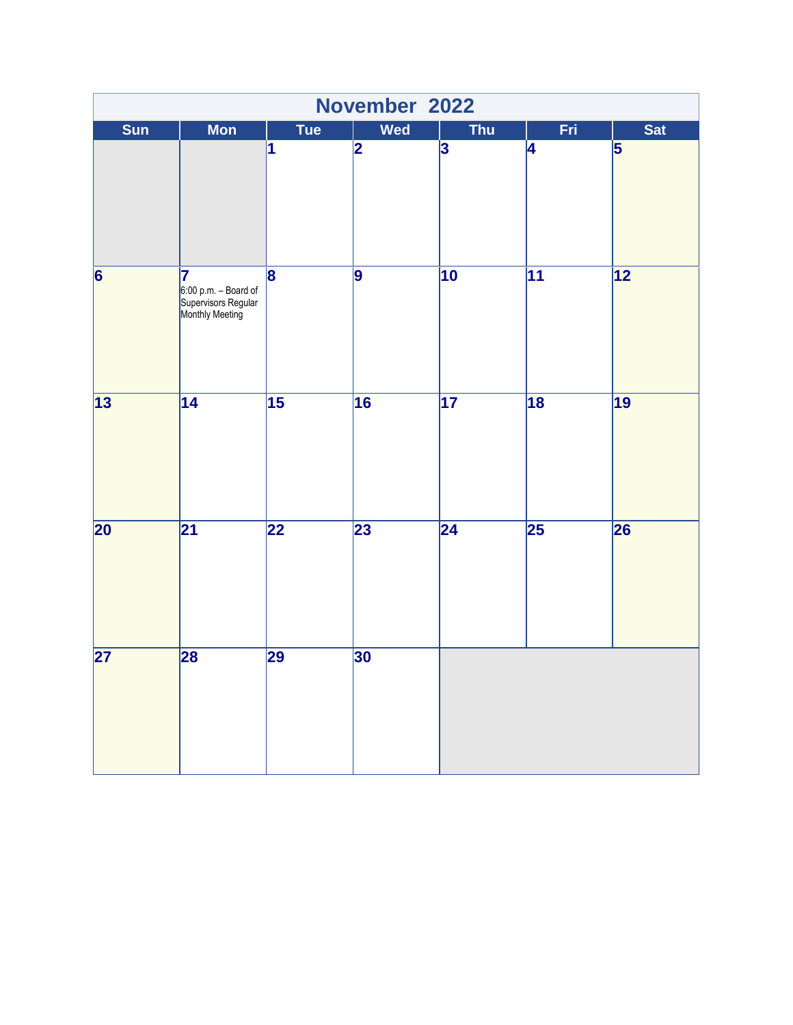|                 | November 2022                                                          |                         |            |                         |                          |                 |  |  |  |
|-----------------|------------------------------------------------------------------------|-------------------------|------------|-------------------------|--------------------------|-----------------|--|--|--|
| Sun             | <b>Mon</b>                                                             | <b>Tue</b>              | <b>Wed</b> | <b>Thu</b>              | Fri                      | <b>Sat</b>      |  |  |  |
|                 |                                                                        | 1                       | 2          | $\overline{\mathbf{3}}$ | 4                        | 5               |  |  |  |
| $\overline{6}$  | 17<br>$6:00$ p.m. - Board of<br>Supervisors Regular<br>Monthly Meeting | $\overline{\mathbf{8}}$ | 9          | $\overline{10}$         | $\overline{11}$          | $\overline{12}$ |  |  |  |
| $\overline{13}$ | $\overline{14}$                                                        | $\overline{15}$         | 16         | $\overline{17}$         | $\overline{18}$          | $\overline{19}$ |  |  |  |
| $\overline{20}$ | $\overline{21}$                                                        | $\overline{22}$         | 23         | $\overline{24}$         | $\overline{\mathbf{25}}$ | 26              |  |  |  |
| $\overline{27}$ | 28                                                                     | 29                      | 30         |                         |                          |                 |  |  |  |